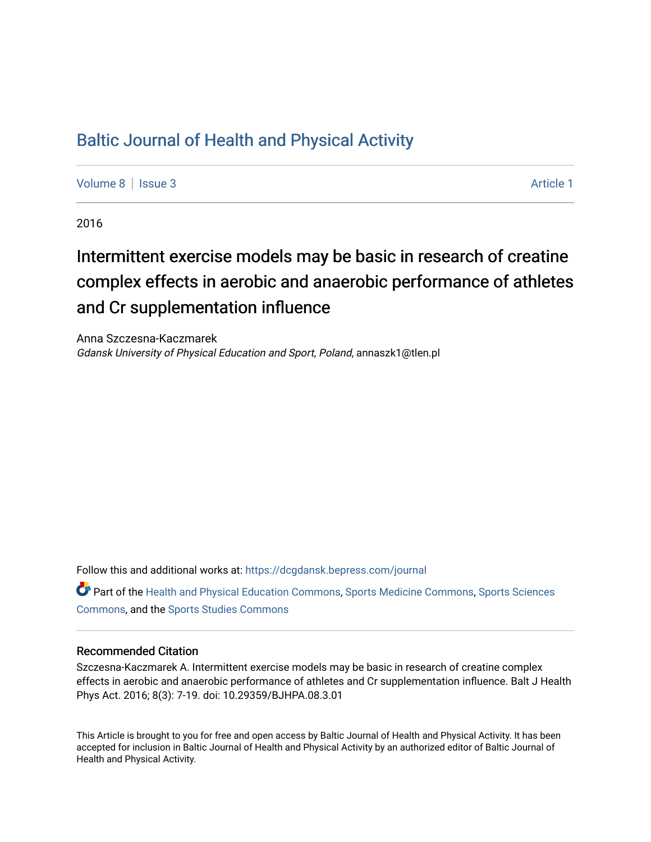## [Baltic Journal of Health and Physical Activity](https://dcgdansk.bepress.com/journal)

[Volume 8](https://dcgdansk.bepress.com/journal/vol8) | [Issue 3](https://dcgdansk.bepress.com/journal/vol8/iss3) Article 1

2016

# Intermittent exercise models may be basic in research of creatine complex effects in aerobic and anaerobic performance of athletes and Cr supplementation influence

Anna Szczesna-Kaczmarek Gdansk University of Physical Education and Sport, Poland, annaszk1@tlen.pl

Follow this and additional works at: [https://dcgdansk.bepress.com/journal](https://dcgdansk.bepress.com/journal?utm_source=dcgdansk.bepress.com%2Fjournal%2Fvol8%2Fiss3%2F1&utm_medium=PDF&utm_campaign=PDFCoverPages)

Part of the [Health and Physical Education Commons](http://network.bepress.com/hgg/discipline/1327?utm_source=dcgdansk.bepress.com%2Fjournal%2Fvol8%2Fiss3%2F1&utm_medium=PDF&utm_campaign=PDFCoverPages), [Sports Medicine Commons,](http://network.bepress.com/hgg/discipline/1331?utm_source=dcgdansk.bepress.com%2Fjournal%2Fvol8%2Fiss3%2F1&utm_medium=PDF&utm_campaign=PDFCoverPages) [Sports Sciences](http://network.bepress.com/hgg/discipline/759?utm_source=dcgdansk.bepress.com%2Fjournal%2Fvol8%2Fiss3%2F1&utm_medium=PDF&utm_campaign=PDFCoverPages) [Commons](http://network.bepress.com/hgg/discipline/759?utm_source=dcgdansk.bepress.com%2Fjournal%2Fvol8%2Fiss3%2F1&utm_medium=PDF&utm_campaign=PDFCoverPages), and the [Sports Studies Commons](http://network.bepress.com/hgg/discipline/1198?utm_source=dcgdansk.bepress.com%2Fjournal%2Fvol8%2Fiss3%2F1&utm_medium=PDF&utm_campaign=PDFCoverPages) 

#### Recommended Citation

Szczesna-Kaczmarek A. Intermittent exercise models may be basic in research of creatine complex effects in aerobic and anaerobic performance of athletes and Cr supplementation influence. Balt J Health Phys Act. 2016; 8(3): 7-19. doi: 10.29359/BJHPA.08.3.01

This Article is brought to you for free and open access by Baltic Journal of Health and Physical Activity. It has been accepted for inclusion in Baltic Journal of Health and Physical Activity by an authorized editor of Baltic Journal of Health and Physical Activity.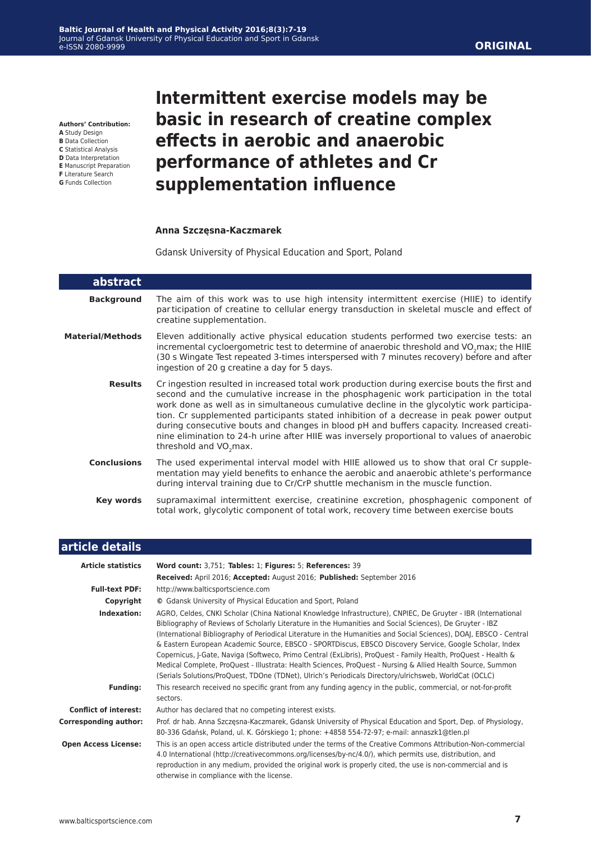**Authors' Contribution:**

- **A** Study Design **B** Data Collection
- **C** Statistical Analysis
- **D** Data Interpretation
- **E** Manuscript Preparation
- **F** Literature Search **G** Funds Collection

L

## **Intermittent exercise models may be basic in research of creatine complex effects in aerobic and anaerobic performance of athletes and Cr supplementation influence**

#### **Anna Szczęsna-Kaczmarek**

Gdansk University of Physical Education and Sport, Poland

| abstract                |                                                                                                                                                                                                                                                                                                                                                                                                                                                                                                                                                                                                                 |  |
|-------------------------|-----------------------------------------------------------------------------------------------------------------------------------------------------------------------------------------------------------------------------------------------------------------------------------------------------------------------------------------------------------------------------------------------------------------------------------------------------------------------------------------------------------------------------------------------------------------------------------------------------------------|--|
| <b>Background</b>       | The aim of this work was to use high intensity intermittent exercise (HIIE) to identify<br>participation of creatine to cellular energy transduction in skeletal muscle and effect of<br>creatine supplementation.                                                                                                                                                                                                                                                                                                                                                                                              |  |
| <b>Material/Methods</b> | Eleven additionally active physical education students performed two exercise tests: an<br>incremental cycloergometric test to determine of anaerobic threshold and VO <sub>2</sub> max; the HIIE<br>(30 s Wingate Test repeated 3-times interspersed with 7 minutes recovery) before and after<br>ingestion of 20 g creatine a day for 5 days.                                                                                                                                                                                                                                                                 |  |
| <b>Results</b>          | Cr ingestion resulted in increased total work production during exercise bouts the first and<br>second and the cumulative increase in the phosphagenic work participation in the total<br>work done as well as in simultaneous cumulative decline in the glycolytic work participa-<br>tion. Cr supplemented participants stated inhibition of a decrease in peak power output<br>during consecutive bouts and changes in blood pH and buffers capacity. Increased creati-<br>nine elimination to 24-h urine after HIIE was inversely proportional to values of anaerobic<br>threshold and VO <sub>2</sub> max. |  |
| <b>Conclusions</b>      | The used experimental interval model with HIIE allowed us to show that oral Cr supple-<br>mentation may yield benefits to enhance the aerobic and anaerobic athlete's performance<br>during interval training due to Cr/CrP shuttle mechanism in the muscle function.                                                                                                                                                                                                                                                                                                                                           |  |
| Key words               | supramaximal intermittent exercise, creatinine excretion, phosphagenic component of<br>total work, glycolytic component of total work, recovery time between exercise bouts                                                                                                                                                                                                                                                                                                                                                                                                                                     |  |

| article details              |                                                                                                                                                                                                                                                                                                                                                                                                                                                                                                                                                                                                                                                                                                                                                                                                      |  |  |
|------------------------------|------------------------------------------------------------------------------------------------------------------------------------------------------------------------------------------------------------------------------------------------------------------------------------------------------------------------------------------------------------------------------------------------------------------------------------------------------------------------------------------------------------------------------------------------------------------------------------------------------------------------------------------------------------------------------------------------------------------------------------------------------------------------------------------------------|--|--|
| <b>Article statistics</b>    | Word count: 3,751; Tables: 1; Figures: 5; References: 39<br>Received: April 2016; Accepted: August 2016; Published: September 2016                                                                                                                                                                                                                                                                                                                                                                                                                                                                                                                                                                                                                                                                   |  |  |
| <b>Full-text PDF:</b>        | http://www.balticsportscience.com                                                                                                                                                                                                                                                                                                                                                                                                                                                                                                                                                                                                                                                                                                                                                                    |  |  |
| Copyright                    | © Gdansk University of Physical Education and Sport, Poland                                                                                                                                                                                                                                                                                                                                                                                                                                                                                                                                                                                                                                                                                                                                          |  |  |
| Indexation:                  | AGRO, Celdes, CNKI Scholar (China National Knowledge Infrastructure), CNPIEC, De Gruyter - IBR (International<br>Bibliography of Reviews of Scholarly Literature in the Humanities and Social Sciences), De Gruyter - IBZ<br>(International Bibliography of Periodical Literature in the Humanities and Social Sciences), DOAJ, EBSCO - Central<br>& Eastern European Academic Source, EBSCO - SPORTDiscus, EBSCO Discovery Service, Google Scholar, Index<br>Copernicus, J-Gate, Naviga (Softweco, Primo Central (ExLibris), ProQuest - Family Health, ProQuest - Health &<br>Medical Complete, ProQuest - Illustrata: Health Sciences, ProQuest - Nursing & Allied Health Source, Summon<br>(Serials Solutions/ProQuest, TDOne (TDNet), Ulrich's Periodicals Directory/ulrichsweb, WorldCat (OCLC) |  |  |
| <b>Funding:</b>              | This research received no specific grant from any funding agency in the public, commercial, or not-for-profit<br>sectors.                                                                                                                                                                                                                                                                                                                                                                                                                                                                                                                                                                                                                                                                            |  |  |
| <b>Conflict of interest:</b> | Author has declared that no competing interest exists.                                                                                                                                                                                                                                                                                                                                                                                                                                                                                                                                                                                                                                                                                                                                               |  |  |
| <b>Corresponding author:</b> | Prof. dr hab. Anna Szczęsna-Kaczmarek, Gdansk University of Physical Education and Sport, Dep. of Physiology,<br>80-336 Gdańsk, Poland, ul. K. Górskiego 1; phone: +4858 554-72-97; e-mail: annaszk1@tlen.pl                                                                                                                                                                                                                                                                                                                                                                                                                                                                                                                                                                                         |  |  |
| <b>Open Access License:</b>  | This is an open access article distributed under the terms of the Creative Commons Attribution-Non-commercial<br>4.0 International (http://creativecommons.org/licenses/by-nc/4.0/), which permits use, distribution, and<br>reproduction in any medium, provided the original work is properly cited, the use is non-commercial and is<br>otherwise in compliance with the license.                                                                                                                                                                                                                                                                                                                                                                                                                 |  |  |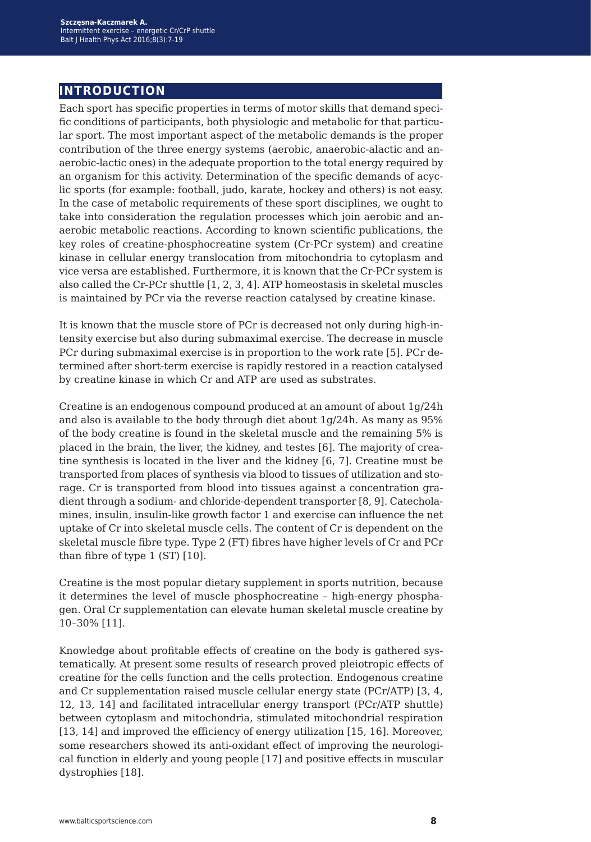## **introduction**

Each sport has specific properties in terms of motor skills that demand specific conditions of participants, both physiologic and metabolic for that particular sport. The most important aspect of the metabolic demands is the proper contribution of the three energy systems (aerobic, anaerobic-alactic and anaerobic-lactic ones) in the adequate proportion to the total energy required by an organism for this activity. Determination of the specific demands of acyclic sports (for example: football, judo, karate, hockey and others) is not easy. In the case of metabolic requirements of these sport disciplines, we ought to take into consideration the regulation processes which join aerobic and anaerobic metabolic reactions. According to known scientific publications, the key roles of creatine-phosphocreatine system (Cr-PCr system) and creatine kinase in cellular energy translocation from mitochondria to cytoplasm and vice versa are established. Furthermore, it is known that the Cr-PCr system is also called the Cr-PCr shuttle [1, 2, 3, 4]. ATP homeostasis in skeletal muscles is maintained by PCr via the reverse reaction catalysed by creatine kinase.

It is known that the muscle store of PCr is decreased not only during high-intensity exercise but also during submaximal exercise. The decrease in muscle PCr during submaximal exercise is in proportion to the work rate [5]. PCr determined after short-term exercise is rapidly restored in a reaction catalysed by creatine kinase in which Cr and ATP are used as substrates.

Creatine is an endogenous compound produced at an amount of about 1g/24h and also is available to the body through diet about 1g/24h. As many as 95% of the body creatine is found in the skeletal muscle and the remaining 5% is placed in the brain, the liver, the kidney, and testes [6]. The majority of creatine synthesis is located in the liver and the kidney [6, 7]. Creatine must be transported from places of synthesis via blood to tissues of utilization and storage. Cr is transported from blood into tissues against a concentration gradient through a sodium- and chloride-dependent transporter [8, 9]. Catecholamines, insulin, insulin-like growth factor 1 and exercise can influence the net uptake of Cr into skeletal muscle cells. The content of Cr is dependent on the skeletal muscle fibre type. Type 2 (FT) fibres have higher levels of Cr and PCr than fibre of type 1 (ST) [10].

Creatine is the most popular dietary supplement in sports nutrition, because it determines the level of muscle phosphocreatine – high-energy phosphagen. Oral Cr supplementation can elevate human skeletal muscle creatine by 10–30% [11].

Knowledge about profitable effects of creatine on the body is gathered systematically. At present some results of research proved pleiotropic effects of creatine for the cells function and the cells protection. Endogenous creatine and Cr supplementation raised muscle cellular energy state (PCr/ATP) [3, 4, 12, 13, 14] and facilitated intracellular energy transport (PCr/ATP shuttle) between cytoplasm and mitochondria, stimulated mitochondrial respiration [13, 14] and improved the efficiency of energy utilization [15, 16]. Moreover, some researchers showed its anti-oxidant effect of improving the neurological function in elderly and young people [17] and positive effects in muscular dystrophies [18].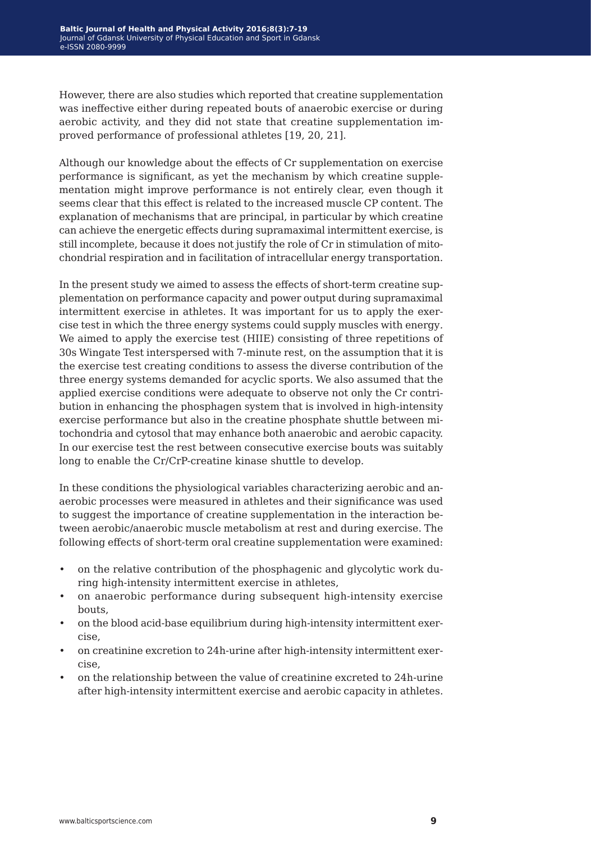However, there are also studies which reported that creatine supplementation was ineffective either during repeated bouts of anaerobic exercise or during aerobic activity, and they did not state that creatine supplementation improved performance of professional athletes [19, 20, 21].

Although our knowledge about the effects of Cr supplementation on exercise performance is significant, as yet the mechanism by which creatine supplementation might improve performance is not entirely clear, even though it seems clear that this effect is related to the increased muscle CP content. The explanation of mechanisms that are principal, in particular by which creatine can achieve the energetic effects during supramaximal intermittent exercise, is still incomplete, because it does not justify the role of Cr in stimulation of mitochondrial respiration and in facilitation of intracellular energy transportation.

In the present study we aimed to assess the effects of short-term creatine supplementation on performance capacity and power output during supramaximal intermittent exercise in athletes. It was important for us to apply the exercise test in which the three energy systems could supply muscles with energy*.* We aimed to apply the exercise test (HIIE) consisting of three repetitions of 30s Wingate Test interspersed with 7-minute rest, on the assumption that it is the exercise test creating conditions to assess the diverse contribution of the three energy systems demanded for acyclic sports. We also assumed that the applied exercise conditions were adequate to observe not only the Cr contribution in enhancing the phosphagen system that is involved in high-intensity exercise performance but also in the creatine phosphate shuttle between mitochondria and cytosol that may enhance both anaerobic and aerobic capacity. In our exercise test the rest between consecutive exercise bouts was suitably long to enable the Cr/CrP-creatine kinase shuttle to develop*.*

In these conditions the physiological variables characterizing aerobic and anaerobic processes were measured in athletes and their significance was used to suggest the importance of creatine supplementation in the interaction between aerobic/anaerobic muscle metabolism at rest and during exercise. The following effects of short-term oral creatine supplementation were examined:

- on the relative contribution of the phosphagenic and glycolytic work during high-intensity intermittent exercise in athletes,
- on anaerobic performance during subsequent high-intensity exercise bouts,
- on the blood acid-base equilibrium during high-intensity intermittent exercise,
- on creatinine excretion to 24h-urine after high-intensity intermittent exercise,
- on the relationship between the value of creatinine excreted to 24h-urine after high-intensity intermittent exercise and aerobic capacity in athletes.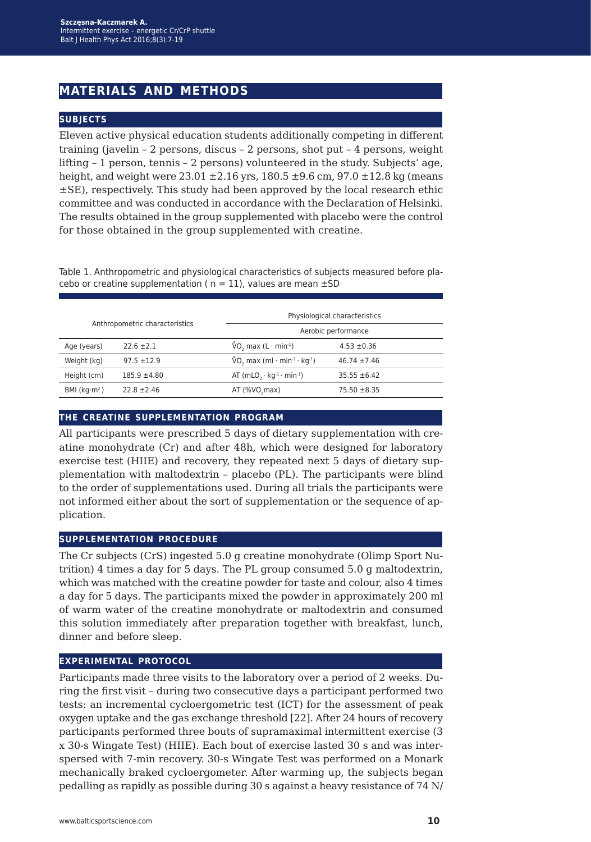## **materials and methods**

#### **subjects**

Eleven active physical education students additionally competing in different training (javelin – 2 persons, discus – 2 persons, shot put – 4 persons, weight lifting – 1 person, tennis – 2 persons) volunteered in the study. Subjects' age, height, and weight were  $23.01 \pm 2.16$  yrs,  $180.5 \pm 9.6$  cm,  $97.0 \pm 12.8$  kg (means ±SE), respectively. This study had been approved by the local research ethic committee and was conducted in accordance with the Declaration of Helsinki. The results obtained in the group supplemented with placebo were the control for those obtained in the group supplemented with creatine.

Table 1. Anthropometric and physiological characteristics of subjects measured before placebo or creatine supplementation ( $n = 11$ ), values are mean  $\pm$ SD

| Anthropometric characteristics |                  | Physiological characteristics                                    |                  |
|--------------------------------|------------------|------------------------------------------------------------------|------------------|
|                                |                  | Aerobic performance                                              |                  |
| Age (years)                    | $22.6 \pm 2.1$   | $\sqrt[6]{0}$ , max (L · min <sup>-1</sup> )                     | $4.53 \pm 0.36$  |
| Weight (kg)                    | $97.5 \pm 12.9$  | $\sqrt[6]{0}$ , max (ml · min <sup>-1</sup> · kg <sup>-1</sup> ) | $46.74 \pm 7.46$ |
| Height (cm)                    | $185.9 \pm 4.80$ | AT $(mLO, \cdot kg^{-1} \cdot min^{-1})$                         | $35.55 \pm 6.42$ |
| BMI ( $kg·m²$ )                | $22.8 \pm 2.46$  | $AT$ (% $VO$ , max)                                              | $75.50 \pm 8.35$ |

#### **the creatine supplementation program**

All participants were prescribed 5 days of dietary supplementation with creatine monohydrate (Cr) and after 48h, which were designed for laboratory exercise test (HIIE) and recovery, they repeated next 5 days of dietary supplementation with maltodextrin – placebo (PL). The participants were blind to the order of supplementations used. During all trials the participants were not informed either about the sort of supplementation or the sequence of application.

#### **supplementation procedure**

The Cr subjects (CrS) ingested 5.0 g creatine monohydrate (Olimp Sport Nutrition) 4 times a day for 5 days. The PL group consumed 5.0 g maltodextrin, which was matched with the creatine powder for taste and colour, also 4 times a day for 5 days. The participants mixed the powder in approximately 200 ml of warm water of the creatine monohydrate or maltodextrin and consumed this solution immediately after preparation together with breakfast, lunch, dinner and before sleep.

#### **experimental protocol**

Participants made three visits to the laboratory over a period of 2 weeks. During the first visit – during two consecutive days a participant performed two tests: an incremental cycloergometric test (ICT) for the assessment of peak oxygen uptake and the gas exchange threshold [22]. After 24 hours of recovery participants performed three bouts of supramaximal intermittent exercise (3 x 30-s Wingate Test) (HIIE). Each bout of exercise lasted 30 s and was interspersed with 7-min recovery. 30-s Wingate Test was performed on a Monark mechanically braked cycloergometer. After warming up, the subjects began pedalling as rapidly as possible during 30 s against a heavy resistance of 74 N/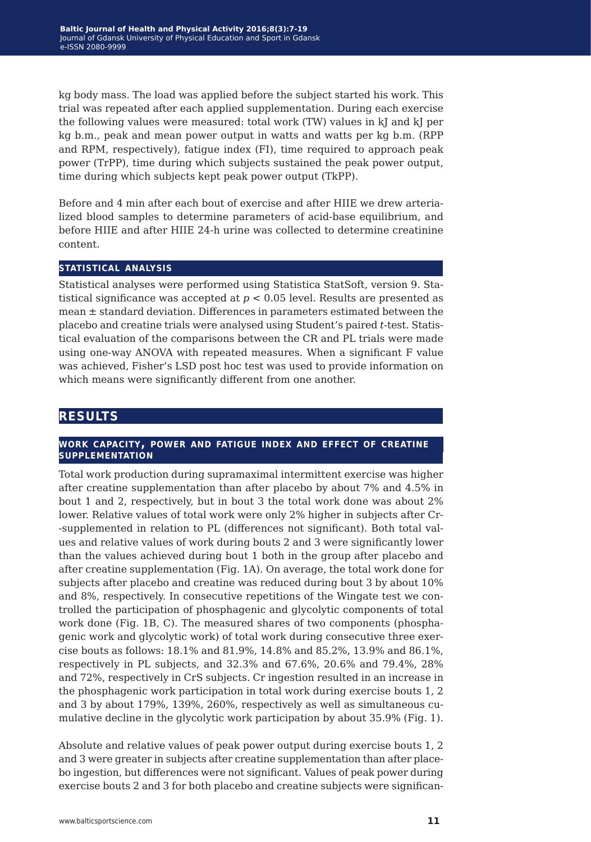kg body mass. The load was applied before the subject started his work. This trial was repeated after each applied supplementation. During each exercise the following values were measured: total work (TW) values in kJ and kJ per kg b.m., peak and mean power output in watts and watts per kg b.m. (RPP and RPM, respectively), fatigue index (FI), time required to approach peak power (TrPP), time during which subjects sustained the peak power output, time during which subjects kept peak power output (TkPP).

Before and 4 min after each bout of exercise and after HIIE we drew arterialized blood samples to determine parameters of acid-base equilibrium, and before HIIE and after HIIE 24‑h urine was collected to determine creatinine content.

#### **statistical analysis**

Statistical analyses were performed using Statistica StatSoft, version 9. Statistical significance was accepted at *p* < 0.05 level. Results are presented as mean ± standard deviation. Differences in parameters estimated between the placebo and creatine trials were analysed using Student's paired *t*-test. Statistical evaluation of the comparisons between the CR and PL trials were made using one-way ANOVA with repeated measures. When a significant F value was achieved, Fisher's LSD post hoc test was used to provide information on which means were significantly different from one another.

## **results**

#### **work capacity, power and fatigue index and effect of creatine supplementation**

Total work production during supramaximal intermittent exercise was higher after creatine supplementation than after placebo by about 7% and 4.5% in bout 1 and 2, respectively, but in bout 3 the total work done was about 2% lower. Relative values of total work were only 2% higher in subjects after Cr- -supplemented in relation to PL (differences not significant). Both total values and relative values of work during bouts 2 and 3 were significantly lower than the values achieved during bout 1 both in the group after placebo and after creatine supplementation (Fig. 1A). On average, the total work done for subjects after placebo and creatine was reduced during bout 3 by about 10% and 8%, respectively. In consecutive repetitions of the Wingate test we controlled the participation of phosphagenic and glycolytic components of total work done (Fig. 1B, C). The measured shares of two components (phosphagenic work and glycolytic work) of total work during consecutive three exercise bouts as follows: 18.1% and 81.9%, 14.8% and 85.2%, 13.9% and 86.1%, respectively in PL subjects, and 32.3% and 67.6%, 20.6% and 79.4%, 28% and 72%, respectively in CrS subjects. Cr ingestion resulted in an increase in the phosphagenic work participation in total work during exercise bouts 1, 2 and 3 by about 179%, 139%, 260%, respectively as well as simultaneous cumulative decline in the glycolytic work participation by about 35.9% (Fig. 1).

Absolute and relative values of peak power output during exercise bouts 1, 2 and 3 were greater in subjects after creatine supplementation than after placebo ingestion, but differences were not significant. Values of peak power during exercise bouts 2 and 3 for both placebo and creatine subjects were significan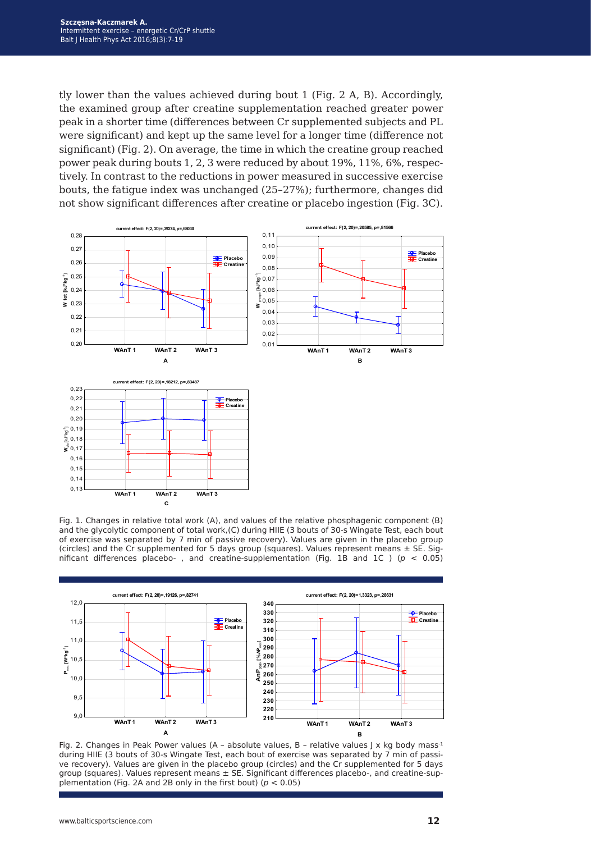tly lower than the values achieved during bout 1 (Fig. 2 A, B). Accordingly, the examined group after creatine supplementation reached greater power peak in a shorter time (differences between Cr supplemented subjects and PL were significant) and kept up the same level for a longer time (difference not significant) (Fig. 2). On average, the time in which the creatine group reached power peak during bouts 1, 2, 3 were reduced by about 19%, 11%, 6%, respectively. In contrast to the reductions in power measured in successive exercise bouts, the fatigue index was unchanged (25–27%); furthermore, changes did not show significant differences after creatine or placebo ingestion (Fig. 3C).



Fig. 1. Changes in relative total work (A), and values of the relative phosphagenic component (B) and the glycolytic component of total work,(C) during HIIE (3 bouts of 30-s Wingate Test, each bout of exercise was separated by 7 min of passive recovery). Values are given in the placebo group (circles) and the Cr supplemented for 5 days group (squares). Values represent means  $\pm$  SE. Significant differences placebo-, and creatine-supplementation (Fig. 1B and 1C ) ( $p < 0.05$ )



Fig. 2. Changes in Peak Power values (A - absolute values, B - relative values J x kg body mass<sup>-1</sup> during HIIE (3 bouts of 30-s Wingate Test, each bout of exercise was separated by 7 min of passive recovery). Values are given in the placebo group (circles) and the Cr supplemented for 5 days group (squares). Values represent means ± SE. Significant differences placebo-, and creatine-supplementation (Fig. 2A and 2B only in the first bout) (*p* < 0.05)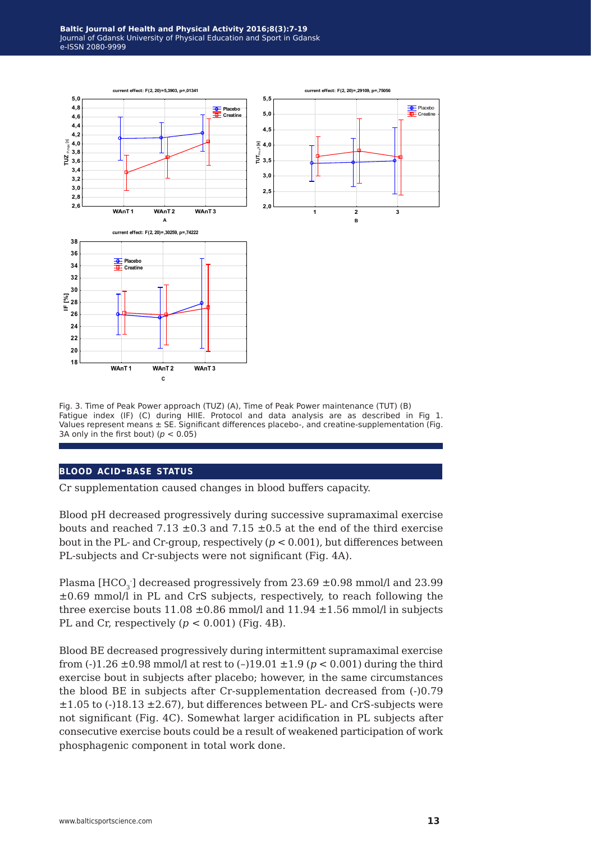

Fig. 3. Time of Peak Power approach (TUZ) (A), Time of Peak Power maintenance (TUT) (B) Fatigue index (IF) (C) during HIIE. Protocol and data analysis are as described in Fig 1. Values represent means ± SE. Significant differences placebo-, and creatine-supplementation (Fig. 3A only in the first bout) ( $p < 0.05$ )

#### **blood acid-base status**

Cr supplementation caused changes in blood buffers capacity.

Blood pH decreased progressively during successive supramaximal exercise bouts and reached 7.13  $\pm$ 0.3 and 7.15  $\pm$ 0.5 at the end of the third exercise bout in the PL- and Cr-group, respectively  $(p < 0.001)$ , but differences between PL-subjects and Cr-subjects were not significant (Fig. 4A).

Plasma [HCO $_3$ ] decreased progressively from 23.69  $\pm$ 0.98 mmol/l and 23.99  $\pm 0.69$  mmol/l in PL and CrS subjects, respectively, to reach following the three exercise bouts  $11.08 \pm 0.86$  mmol/l and  $11.94 \pm 1.56$  mmol/l in subjects PL and Cr, respectively  $(p < 0.001)$  (Fig. 4B).

Blood BE decreased progressively during intermittent supramaximal exercise from (-)1.26 ±0.98 mmol/l at rest to (–)19.01 ±1.9 (*p* < 0.001) during the third exercise bout in subjects after placebo; however, in the same circumstances the blood BE in subjects after Cr-supplementation decreased from (-)0.79  $\pm 1.05$  to (-)18.13  $\pm 2.67$ ), but differences between PL- and CrS-subjects were not significant (Fig. 4C). Somewhat larger acidification in PL subjects after consecutive exercise bouts could be a result of weakened participation of work phosphagenic component in total work done.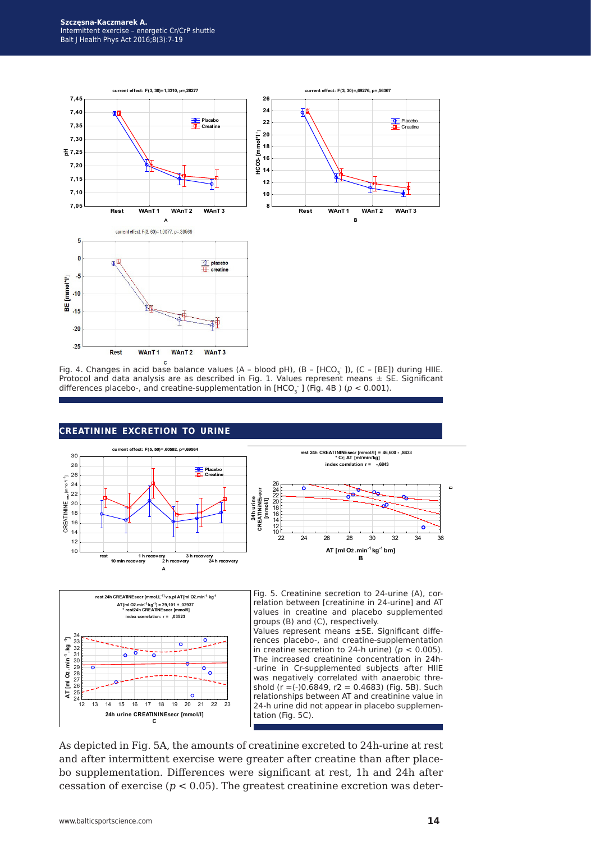

Fig. 4. Changes in acid base balance values (A - blood pH), (B - [HCO<sub>3</sub> ]), (C - [BE]) during HIIE. Protocol and data analysis are as described in Fig. 1. Values represent means ± SE. Significant differences placebo-, and creatine-supplementation in [HCO<sub>3</sub> ] (Fig. 4B ) ( $p < 0.001$ ).



#### **creatinine excretion to urine**



Fig. 5. Creatinine secretion to 24-urine (A), correlation between [creatinine in 24-urine] and AT values in creatine and placebo supplemented groups (B) and (C), respectively.

Values represent means ±SE. Significant differences placebo-, and creatine-supplementation in creatine secretion to 24-h urine) ( $p < 0.005$ ). The increased creatinine concentration in 24h- -urine in Cr-supplemented subjects after HIIE was negatively correlated with anaerobic threshold ( $r = (-)0.6849$ ,  $r2 = 0.4683$ ) (Fig. 5B). Such relationships between AT and creatinine value in 24-h urine did not appear in placebo supplementation (Fig. 5C).

As depicted in Fig. 5A, the amounts of creatinine excreted to 24h-urine at rest and after intermittent exercise were greater after creatine than after placebo supplementation. Differences were significant at rest, 1h and 24h after cessation of exercise ( $p < 0.05$ ). The greatest creatinine excretion was deter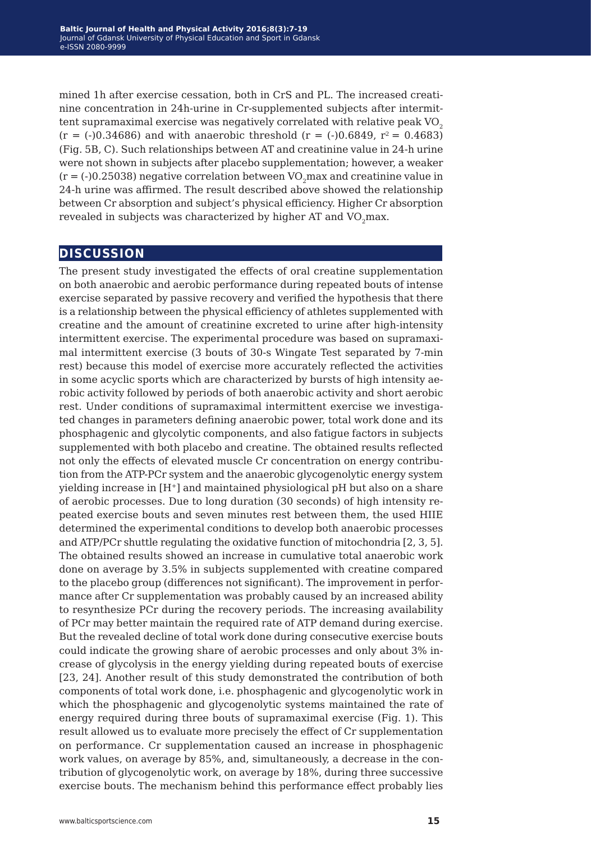mined 1h after exercise cessation, both in CrS and PL. The increased creatinine concentration in 24h-urine in Cr-supplemented subjects after intermittent supramaximal exercise was negatively correlated with relative peak  $VO<sub>2</sub>$  $(r = (-0.34686)$  and with anaerobic threshold  $(r = (-0.6849, r^2 = 0.4683)$ (Fig. 5B, C). Such relationships between AT and creatinine value in 24-h urine were not shown in subjects after placebo supplementation; however, a weaker  $(r = (-0.25038)$  negative correlation between VO<sub>2</sub>max and creatinine value in 24-h urine was affirmed. The result described above showed the relationship between Cr absorption and subject's physical efficiency. Higher Cr absorption revealed in subjects was characterized by higher AT and VO<sub>2</sub>max.

### **discussion**

The present study investigated the effects of oral creatine supplementation on both anaerobic and aerobic performance during repeated bouts of intense exercise separated by passive recovery and verified the hypothesis that there is a relationship between the physical efficiency of athletes supplemented with creatine and the amount of creatinine excreted to urine after high-intensity intermittent exercise. The experimental procedure was based on supramaximal intermittent exercise (3 bouts of 30-s Wingate Test separated by 7-min rest) because this model of exercise more accurately reflected the activities in some acyclic sports which are characterized by bursts of high intensity aerobic activity followed by periods of both anaerobic activity and short aerobic rest. Under conditions of supramaximal intermittent exercise we investigated changes in parameters defining anaerobic power, total work done and its phosphagenic and glycolytic components, and also fatigue factors in subjects supplemented with both placebo and creatine. The obtained results reflected not only the effects of elevated muscle Cr concentration on energy contribution from the ATP-PCr system and the anaerobic glycogenolytic energy system yielding increase in [H<sup>+</sup>] and maintained physiological pH but also on a share of aerobic processes. Due to long duration (30 seconds) of high intensity repeated exercise bouts and seven minutes rest between them, the used HIIE determined the experimental conditions to develop both anaerobic processes and ATP/PCr shuttle regulating the oxidative function of mitochondria [2, 3, 5]. The obtained results showed an increase in cumulative total anaerobic work done on average by 3.5% in subjects supplemented with creatine compared to the placebo group (differences not significant). The improvement in performance after Cr supplementation was probably caused by an increased ability to resynthesize PCr during the recovery periods. The increasing availability of PCr may better maintain the required rate of ATP demand during exercise. But the revealed decline of total work done during consecutive exercise bouts could indicate the growing share of aerobic processes and only about 3% increase of glycolysis in the energy yielding during repeated bouts of exercise [23, 24]. Another result of this study demonstrated the contribution of both components of total work done, i.e. phosphagenic and glycogenolytic work in which the phosphagenic and glycogenolytic systems maintained the rate of energy required during three bouts of supramaximal exercise (Fig. 1). This result allowed us to evaluate more precisely the effect of Cr supplementation on performance. Cr supplementation caused an increase in phosphagenic work values, on average by 85%, and, simultaneously, a decrease in the contribution of glycogenolytic work, on average by 18%, during three successive exercise bouts. The mechanism behind this performance effect probably lies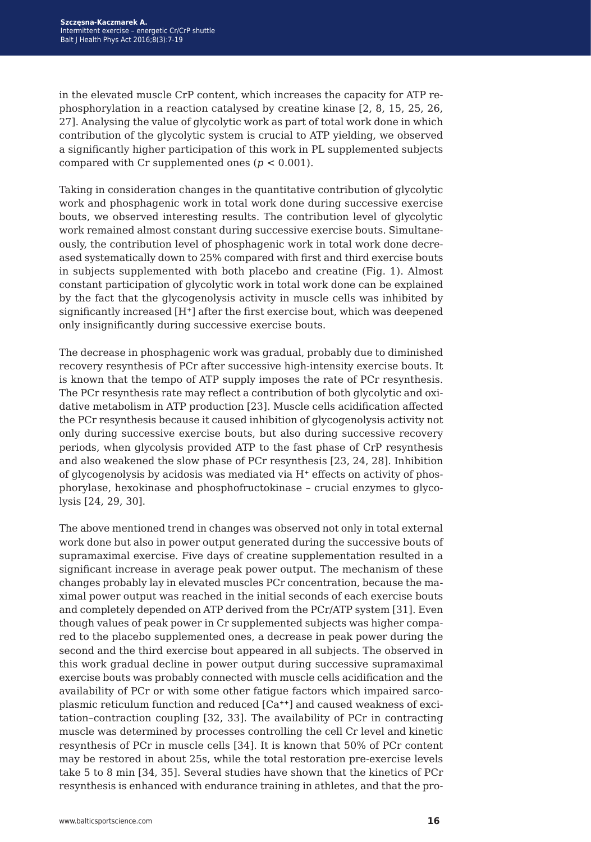in the elevated muscle CrP content, which increases the capacity for ATP rephosphorylation in a reaction catalysed by creatine kinase [2, 8, 15, 25, 26, 27]. Analysing the value of glycolytic work as part of total work done in which contribution of the glycolytic system is crucial to ATP yielding, we observed a significantly higher participation of this work in PL supplemented subjects compared with Cr supplemented ones  $(p < 0.001)$ .

Taking in consideration changes in the quantitative contribution of glycolytic work and phosphagenic work in total work done during successive exercise bouts, we observed interesting results. The contribution level of glycolytic work remained almost constant during successive exercise bouts. Simultaneously, the contribution level of phosphagenic work in total work done decreased systematically down to 25% compared with first and third exercise bouts in subjects supplemented with both placebo and creatine (Fig. 1). Almost constant participation of glycolytic work in total work done can be explained by the fact that the glycogenolysis activity in muscle cells was inhibited by significantly increased [H<sup>+</sup>] after the first exercise bout, which was deepened only insignificantly during successive exercise bouts.

The decrease in phosphagenic work was gradual, probably due to diminished recovery resynthesis of PCr after successive high-intensity exercise bouts. It is known that the tempo of ATP supply imposes the rate of PCr resynthesis. The PCr resynthesis rate may reflect a contribution of both glycolytic and oxidative metabolism in ATP production [23]. Muscle cells acidification affected the PCr resynthesis because it caused inhibition of glycogenolysis activity not only during successive exercise bouts, but also during successive recovery periods, when glycolysis provided ATP to the fast phase of CrP resynthesis and also weakened the slow phase of PCr resynthesis [23, 24, 28]. Inhibition of glycogenolysis by acidosis was mediated via H**+** effects on activity of phosphorylase, hexokinase and phosphofructokinase – crucial enzymes to glycolysis [24, 29, 30].

The above mentioned trend in changes was observed not only in total external work done but also in power output generated during the successive bouts of supramaximal exercise. Five days of creatine supplementation resulted in a significant increase in average peak power output. The mechanism of these changes probably lay in elevated muscles PCr concentration, because the maximal power output was reached in the initial seconds of each exercise bouts and completely depended on ATP derived from the PCr/ATP system [31]. Even though values of peak power in Cr supplemented subjects was higher compared to the placebo supplemented ones, a decrease in peak power during the second and the third exercise bout appeared in all subjects. The observed in this work gradual decline in power output during successive supramaximal exercise bouts was probably connected with muscle cells acidification and the availability of PCr or with some other fatigue factors which impaired sarcoplasmic reticulum function and reduced [Ca**++**] and caused weakness of excitation–contraction coupling [32, 33]. The availability of PCr in contracting muscle was determined by processes controlling the cell Cr level and kinetic resynthesis of PCr in muscle cells [34]. It is known that 50% of PCr content may be restored in about 25s, while the total restoration pre-exercise levels take 5 to 8 min [34, 35]. Several studies have shown that the kinetics of PCr resynthesis is enhanced with endurance training in athletes, and that the pro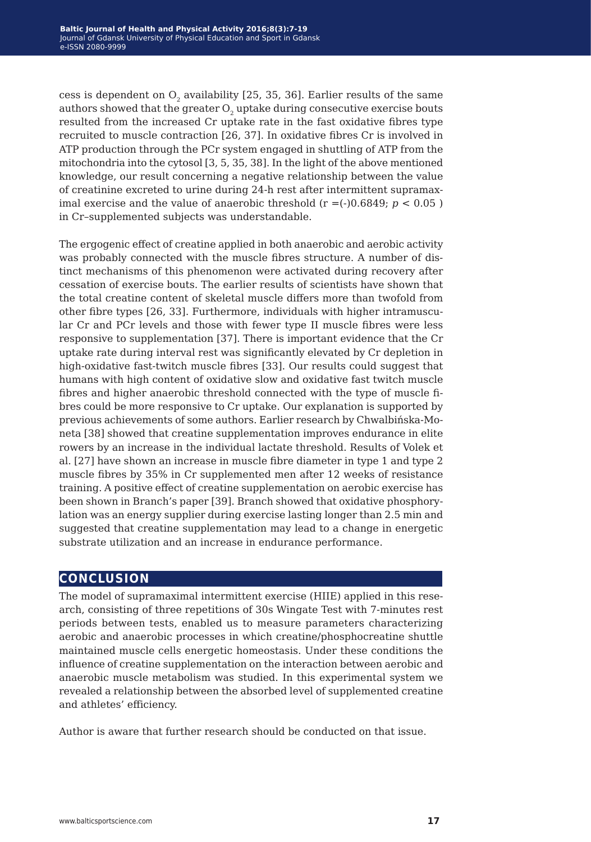cess is dependent on  $O_2$  availability [25, 35, 36]. Earlier results of the same authors showed that the greater  $O<sub>2</sub>$  uptake during consecutive exercise bouts resulted from the increased Cr uptake rate in the fast oxidative fibres type recruited to muscle contraction [26, 37]. In oxidative fibres Cr is involved in ATP production through the PCr system engaged in shuttling of ATP from the mitochondria into the cytosol [3, 5, 35, 38]. In the light of the above mentioned knowledge, our result concerning a negative relationship between the value of creatinine excreted to urine during 24-h rest after intermittent supramaximal exercise and the value of anaerobic threshold  $(r = (-)0.6849; p < 0.05)$ in Cr–supplemented subjects was understandable.

The ergogenic effect of creatine applied in both anaerobic and aerobic activity was probably connected with the muscle fibres structure. A number of distinct mechanisms of this phenomenon were activated during recovery after cessation of exercise bouts. The earlier results of scientists have shown that the total creatine content of skeletal muscle differs more than twofold from other fibre types [26, 33]. Furthermore, individuals with higher intramuscular Cr and PCr levels and those with fewer type II muscle fibres were less responsive to supplementation [37]. There is important evidence that the Cr uptake rate during interval rest was significantly elevated by Cr depletion in high-oxidative fast-twitch muscle fibres [33]. Our results could suggest that humans with high content of oxidative slow and oxidative fast twitch muscle fibres and higher anaerobic threshold connected with the type of muscle fibres could be more responsive to Cr uptake. Our explanation is supported by previous achievements of some authors. Earlier research by Chwalbińska-Moneta [38] showed that creatine supplementation improves endurance in elite rowers by an increase in the individual lactate threshold. Results of Volek et al. [27] have shown an increase in muscle fibre diameter in type 1 and type 2 muscle fibres by 35% in Cr supplemented men after 12 weeks of resistance training. A positive effect of creatine supplementation on aerobic exercise has been shown in Branch's paper [39]. Branch showed that oxidative phosphorylation was an energy supplier during exercise lasting longer than 2.5 min and suggested that creatine supplementation may lead to a change in energetic substrate utilization and an increase in endurance performance.

## **conclusion**

The model of supramaximal intermittent exercise (HIIE) applied in this research, consisting of three repetitions of 30s Wingate Test with 7-minutes rest periods between tests, enabled us to measure parameters characterizing aerobic and anaerobic processes in which creatine/phosphocreatine shuttle maintained muscle cells energetic homeostasis. Under these conditions the influence of creatine supplementation on the interaction between aerobic and anaerobic muscle metabolism was studied. In this experimental system we revealed a relationship between the absorbed level of supplemented creatine and athletes' efficiency.

Author is aware that further research should be conducted on that issue.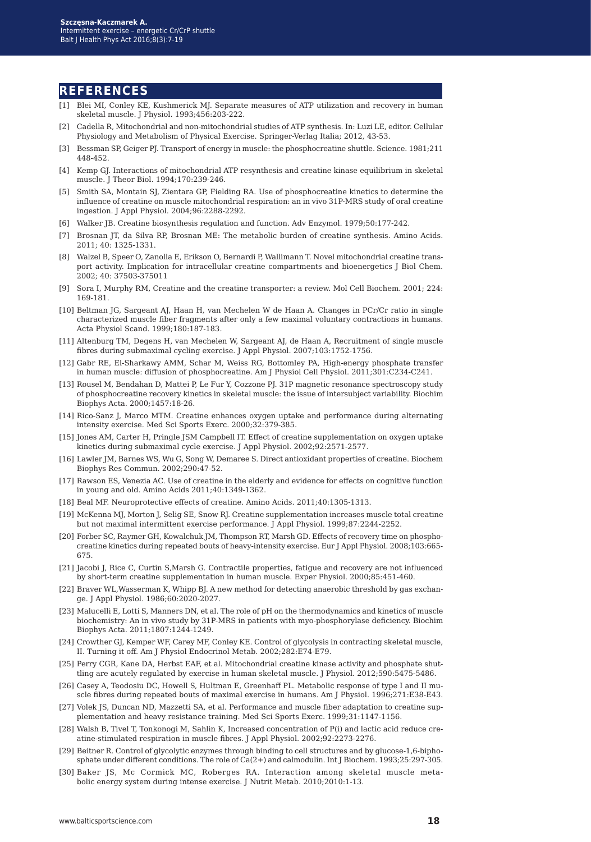#### **references**

- [1] Blei MI, Conley KE, Kushmerick MJ. Separate measures of ATP utilization and recovery in human skeletal muscle. J Physiol. 1993;456:203-222.
- [2] Cadella R, Mitochondrial and non-mitochondrial studies of ATP synthesis. In: Luzi LE, editor. Cellular Physiology and Metabolism of Physical Exercise. Springer-Verlag Italia; 2012, 43-53.
- [3] Bessman SP, Geiger PJ. Transport of energy in muscle: the phosphocreatine shuttle. Science. 1981;211 448-452.
- [4] Kemp GJ. Interactions of mitochondrial ATP resynthesis and creatine kinase equilibrium in skeletal muscle. J Theor Biol. 1994;170:239-246.
- [5] Smith SA, Montain SJ, Zientara GP, Fielding RA. Use of phosphocreatine kinetics to determine the influence of creatine on muscle mitochondrial respiration: an in vivo 31P-MRS study of oral creatine ingestion. J Appl Physiol. 2004;96:2288-2292.
- [6] Walker JB. Creatine biosynthesis regulation and function. Adv Enzymol. 1979;50:177-242.
- [7] Brosnan JT, da Silva RP, Brosnan ME: The metabolic burden of creatine synthesis. Amino Acids. 2011; 40: 1325-1331.
- [8] Walzel B, Speer O, Zanolla E, Erikson O, Bernardi P, Wallimann T. Novel mitochondrial creatine transport activity. Implication for intracellular creatine compartments and bioenergetics J Biol Chem. 2002; 40: 37503-375011
- [9] Sora I, Murphy RM, Creatine and the creatine transporter: a review. Mol Cell Biochem. 2001; 224: 169-181.
- [10] Beltman JG, Sargeant AJ, Haan H, van Mechelen W de Haan A. Changes in PCr/Cr ratio in single characterized muscle fiber fragments after only a few maximal voluntary contractions in humans. Acta Physiol Scand. 1999;180:187-183.
- [11] Altenburg TM, Degens H, van Mechelen W, Sargeant AJ, de Haan A, Recruitment of single muscle fibres during submaximal cycling exercise. J Appl Physiol. 2007;103:1752-1756.
- [12] Gabr RE, El-Sharkawy AMM, Schar M, Weiss RG, Bottomley PA, High-energy phosphate transfer in human muscle: diffusion of phosphocreatine. Am J Physiol Cell Physiol. 2011;301:C234-C241.
- [13] Rousel M, Bendahan D, Mattei P, Le Fur Y, Cozzone PJ. 31P magnetic resonance spectroscopy study of phosphocreatine recovery kinetics in skeletal muscle: the issue of intersubject variability. Biochim Biophys Acta. 2000;1457:18-26.
- [14] Rico-Sanz J, Marco MTM. Creatine enhances oxygen uptake and performance during alternating intensity exercise. Med Sci Sports Exerc. 2000;32:379-385.
- [15] Jones AM, Carter H, Pringle JSM Campbell IT. Effect of creatine supplementation on oxygen uptake kinetics during submaximal cycle exercise. J Appl Physiol. 2002;92:2571-2577.
- [16] Lawler JM, Barnes WS, Wu G, Song W, Demaree S. Direct antioxidant properties of creatine. Biochem Biophys Res Commun. 2002;290:47-52.
- [17] Rawson ES, Venezia AC. Use of creatine in the elderly and evidence for effects on cognitive function in young and old. Amino Acids 2011;40:1349-1362.
- [18] Beal MF. Neuroprotective effects of creatine. Amino Acids. 2011;40:1305-1313.
- [19] McKenna MJ, Morton J, Selig SE, Snow RJ. Creatine supplementation increases muscle total creatine but not maximal intermittent exercise performance. J Appl Physiol. 1999;87:2244-2252.
- [20] Forber SC, Raymer GH, Kowalchuk JM, Thompson RT, Marsh GD. Effects of recovery time on phosphocreatine kinetics during repeated bouts of heavy-intensity exercise. Eur J Appl Physiol. 2008;103:665- 675.
- [21] Jacobi J, Rice C, Curtin S,Marsh G. Contractile properties, fatigue and recovery are not influenced by short-term creatine supplementation in human muscle. Exper Physiol. 2000;85:451-460.
- [22] Braver WL,Wasserman K, Whipp BJ. A new method for detecting anaerobic threshold by gas exchange. J Appl Physiol. 1986;60:2020-2027.
- [23] Malucelli E, Lotti S, Manners DN, et al. The role of pH on the thermodynamics and kinetics of muscle biochemistry: An in vivo study by 31P-MRS in patients with myo-phosphorylase deficiency. Biochim Biophys Acta. 2011;1807:1244-1249.
- [24] Crowther GJ, Kemper WF, Carey MF, Conley KE. Control of glycolysis in contracting skeletal muscle, II. Turning it off. Am J Physiol Endocrinol Metab. 2002;282:E74-E79.
- [25] Perry CGR, Kane DA, Herbst EAF, et al. Mitochondrial creatine kinase activity and phosphate shuttling are acutely regulated by exercise in human skeletal muscle. J Physiol. 2012;590:5475-5486.
- [26] Casey A, Teodosiu DC, Howell S, Hultman E, Greenhaff PL. Metabolic response of type I and II muscle fibres during repeated bouts of maximal exercise in humans. Am J Physiol. 1996;271:E38-E43.
- [27] Volek JS, Duncan ND, Mazzetti SA, et al. Performance and muscle fiber adaptation to creatine supplementation and heavy resistance training. Med Sci Sports Exerc. 1999;31:1147-1156.
- [28] Walsh B, Tivel T, Tonkonogi M, Sahlin K, Increased concentration of P(i) and lactic acid reduce creatine-stimulated respiration in muscle fibres. J Appl Physiol. 2002;92:2273-2276.
- [29] Beitner R. Control of glycolytic enzymes through binding to cell structures and by glucose-1,6-biphosphate under different conditions. The role of Ca(2+) and calmodulin. Int J Biochem. 1993;25:297-305.
- [30] Baker JS, Mc Cormick MC, Roberges RA. Interaction among skeletal muscle metabolic energy system during intense exercise. J Nutrit Metab. 2010;2010:1-13.